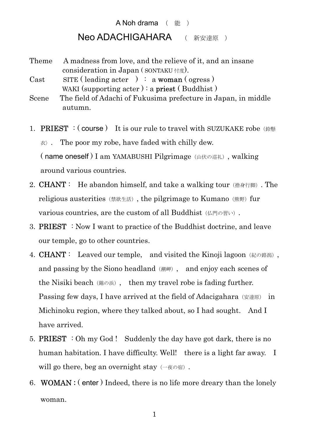## A Noh drama (能) Neo ADACHIGAHARA ( 新安達原 )

- Theme A madness from love, and the relieve of it, and an insane consideration in Japan ( SONTAKU 忖度).
- Cast SITE (leading acter) : a woman (ogress) WAKI (supporting  $\text{acter}$ ): a **priest** (Buddhist)
- Scene The field of Adachi of Fukusima prefecture in Japan, in middle autumn.
- 1. **PRIEST** : (course) It is our rule to travel with SUZUKAKE robe  $\&$  $\langle x \rangle$ . The poor my robe, have faded with chilly dew. (name oneself) I am YAMABUSHI Pilgrimage (山伏の巡礼), walking around various countries.
- 2. **CHANT**: He abandon himself, and take a walking tour  $(\n\# \n\# \n\pi)$ . The religious austerities (禁欲生活), the pilgrimage to Kumano (熊野) fur various countries, are the custom of all Buddhist (仏門の習い).
- 3. PRIEST : Now I want to practice of the Buddhist doctrine, and leave our temple, go to other countries.
- 4. **CHANT**: Leaved our temple, and visited the Kinoji lagoon (紀の路潟), and passing by the Siono headland (潮岬), and enjoy each scenes of the Nisiki beach  $(\Re \oslash \nexists x)$ , then my travel robe is fading further. Passing few days, I have arrived at the field of Adacigahara (安達原) in Michinoku region, where they talked about, so I had sought. And I have arrived.
- 5. **PRIEST** : Oh my God! Suddenly the day have got dark, there is no human habitation. I have difficulty. Well! there is a light far away. I will go there, beg an overnight stay  $(-\bar{\alpha} \circ \bar{\alpha})$ .
- 6.WOMAN : ( enter ) Indeed, there is no life more dreary than the lonely woman.

1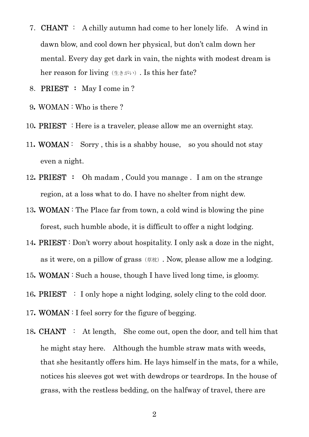- 7. **CHANT** : A chilly autumn had come to her lonely life. A wind in dawn blow, and cool down her physical, but don't calm down her mental. Every day get dark in vain, the nights with modest dream is her reason for living  $(\pm \xi)$ . Is this her fate?
- 8.PRIEST : May I come in ?
- 9.WOMAN : Who is there ?
- 10. **PRIEST** : Here is a traveler, please allow me an overnight stay.
- 11. WOMAN: Sorry, this is a shabby house, so you should not stay even a night.
- 12. **PRIEST** : Oh madam, Could you manage . I am on the strange region, at a loss what to do. I have no shelter from night dew.
- 13.WOMAN : The Place far from town, a cold wind is blowing the pine forest, such humble abode, it is difficult to offer a night lodging.
- 14.PRIEST : Don't worry about hospitality. I only ask a doze in the night, as it were, on a pillow of grass  $(\nexists t x)$ . Now, please allow me a lodging.
- 15. WOMAN : Such a house, though I have lived long time, is gloomy.
- 16. **PRIEST** : I only hope a night lodging, solely cling to the cold door.
- 17. WOMAN : I feel sorry for the figure of begging.
- 18. **CHANT** : At length, She come out, open the door, and tell him that he might stay here. Although the humble straw mats with weeds, that she hesitantly offers him. He lays himself in the mats, for a while, notices his sleeves got wet with dewdrops or teardrops. In the house of grass, with the restless bedding, on the halfway of travel, there are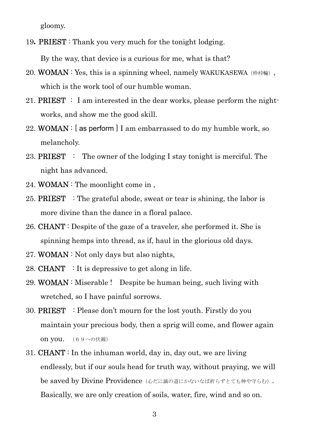gloomy.

19. **PRIEST**: Thank you very much for the tonight lodging.

By the way, that device is a curious for me, what is that?

- 20. WOMAN : Yes, this is a spinning wheel, namely WAKUKASEWA ( $\#$ ); which is the work tool of our humble woman.
- 21. **PRIEST** : I am interested in the dear works, please perform the nightworks, and show me the good skill.
- 22. WOMAN :  $[$  as perform  $]$  I am embarrassed to do my humble work, so melancholy.
- 23. **PRIEST** : The owner of the lodging I stay tonight is merciful. The night has advanced.
- 24. WOMAN : The moonlight come in ,
- 25. **PRIEST** : The grateful abode, sweat or tear is shining, the labor is more divine than the dance in a floral palace.
- 26. **CHANT** : Despite of the gaze of a traveler, she performed it. She is spinning hemps into thread, as if, haul in the glorious old days.
- 27. WOMAN : Not only days but also nights,
- 28. **CHANT** : It is depressive to get along in life.
- 29. WOMAN : Miserable ! Despite be human being, such living with wretched, so I have painful sorrows.
- 30. PRIEST : Please don't mourn for the lost youth. Firstly do you maintain your precious body, then a sprig will come, and flower again **on you.** (69への伏線)
- 31. **CHANT**: In the inhuman world, day in, day out, we are living endlessly, but if our souls head for truth way, without praying, we will be saved by Divine Providence (心だに誠の道にかないなば祈らずとても神や守らむ). Basically, we are only creation of soils, water, fire, wind and so on.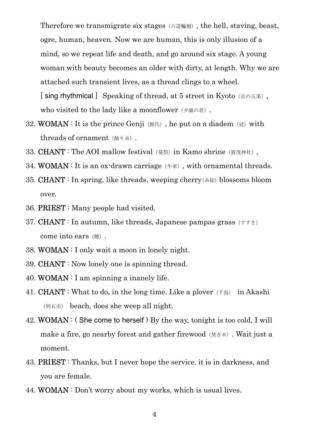Therefore we transmigrate six stages(六道輪廻), the hell, staving, beast, ogre, human, heaven. Now we are human, this is only illusion of a mind, so we repeat life and death, and go around six stage. A young woman with beauty becomes an older with dirty, at length. Why we are attached such transient lives, as a thread clings to a wheel. [sing rhythmical] Speaking of thread, at 5 street in Kyoto (京の五条), who visited to the lady like a moonflower (夕顔の君).

- 32. WOMAN : It is the prince Genji (源氏), he put on a diadem (冠) with threads of ornament (飾り糸).
- 33. CHANT: The AOI mallow festival (葵祭) in Kamo shrine (賀茂神社),
- 34. WOMAN : It is an ox-drawn carriage  $(†\text{E})$ , with ornamental threads.
- 35. CHANT : In spring, like threads, weeping cherry(糸桜) blossoms bloom over.
- 36. PRIEST : Many people had visited.
- 37. **CHANT**: In autumn, like threads, Japanese pampas grass  $(\dagger \dagger \dagger \dagger)$ come into ears (穂).
- 38. WOMAN : I only wait a moon in lonely night.
- 39. CHANT : Now lonely one is spinning thread.
- 40. WOMAN : I am spinning a inanely life.
- 41. **CHANT** : What to do, in the long time. Like a plover  $(\pm \text{e})$  in Akashi (明石市) beach, does she weep all night.
- 42. WOMAN : (She come to herself) By the way, tonight is too cold, I will make a fire, go nearby forest and gather firewood  $(*\ddot{\varepsilon} \ast \ddot{\varepsilon})$ . Wait just a moment.
- 43. PRIEST : Thanks, but I never hope the service. it is in darkness, and you are female.
- 44. WOMAN : Don't worry about my works, which is usual lives.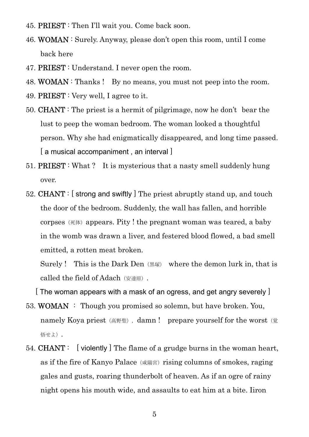- 45. PRIEST : Then I'll wait you. Come back soon.
- 46. WOMAN : Surely. Anyway, please don't open this room, until I come back here
- 47. PRIEST : Understand. I never open the room.
- 48. WOMAN : Thanks ! By no means, you must not peep into the room.
- 49. PRIEST : Very well, I agree to it.
- 50. CHANT : The priest is a hermit of pilgrimage, now he don't bear the lust to peep the woman bedroom. The woman looked a thoughtful person. Why she had enigmatically disappeared, and long time passed. [ a musical accompaniment, an interval ]
- 51. PRIEST : What ? It is mysterious that a nasty smell suddenly hung over.
- 52. CHANT : [ strong and swiftly ] The priest abruptly stand up, and touch the door of the bedroom. Suddenly, the wall has fallen, and horrible corpses ( $\overline{\kappa}$ ) appears. Pity ! the pregnant woman was teared, a baby in the womb was drawn a liver, and festered blood flowed, a bad smell emitted, a rotten meat broken.

Surely! This is the Dark Den  $(\mathbb{R}\overline{\mathbb{R}})$  where the demon lurk in, that is called the field of Adach (安達原).

 $\mid$  The woman appears with a mask of an ogress, and get angry severely  $\mid$ 

- 53. WOMAN : Though you promised so solemn, but have broken. You, namely Koya priest (高野聖), damn ! prepare yourself for the worst (覚 悟せよ).
- 54. CHANT : [ violently ] The flame of a grudge burns in the woman heart, as if the fire of Kanyo Palace (咸陽宮) rising columns of smokes, raging gales and gusts, roaring thunderbolt of heaven. As if an ogre of rainy night opens his mouth wide, and assaults to eat him at a bite. Iiron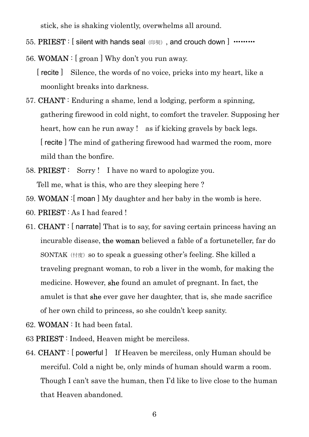stick, she is shaking violently, overwhelms all around.

- 55. PRIEST : [ silent with hands seal (印契), and crouch down ] ………
- 56. WOMAN : [ groan ] Why don't you run away.

- 57. CHANT : Enduring a shame, lend a lodging, perform a spinning, gathering firewood in cold night, to comfort the traveler. Supposing her heart, how can he run away ! as if kicking gravels by back legs. [ recite ] The mind of gathering firewood had warmed the room, more mild than the bonfire.
- 58. PRIEST : Sorry ! I have no ward to apologize you. Tell me, what is this, who are they sleeping here ?
- 59. WOMAN :[ moan ] My daughter and her baby in the womb is here.
- 60. PRIEST : As I had feared !
- 61. CHANT : [ narrate] That is to say, for saving certain princess having an incurable disease, the woman believed a fable of a fortuneteller, far do SONTAK ( $\forall$ ) so to speak a guessing other's feeling. She killed a traveling pregnant woman, to rob a liver in the womb, for making the medicine. However, she found an amulet of pregnant. In fact, the amulet is that she ever gave her daughter, that is, she made sacrifice of her own child to princess, so she couldn't keep sanity.
- 62. WOMAN : It had been fatal.
- 63 PRIEST : Indeed, Heaven might be merciless.
- 64. CHANT : [ powerful ] If Heaven be merciless, only Human should be merciful. Cold a night be, only minds of human should warm a room. Though I can't save the human, then I'd like to live close to the human that Heaven abandoned.

 <sup>[</sup> recite ] Silence, the words of no voice, pricks into my heart, like a moonlight breaks into darkness.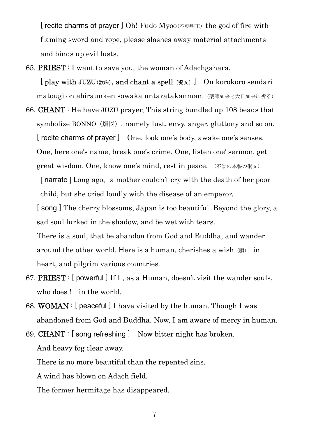[ recite charms of prayer ] Oh! Fudo Myoo(不動明王) the god of fire with flaming sword and rope, please slashes away material attachments and binds up evil lusts.

65. PRIEST : I want to save you, the woman of Adachgahara.

[ play with JUZU(数珠), and chant a spell(呪文)] On korokoro sendari matougi on abiraunken sowaka untaratakanman.(薬師如来と大日如来に祈る)

66. CHANT : He have JUZU prayer, This string bundled up 108 beads that symbolize BONNO (煩悩), namely lust, envy, anger, gluttony and so on. [ recite charms of prayer ] One, look one's body, awake one's senses. One, here one's name, break one's crime. One, listen one' sermon, get great wisdom. One, know one's mind, rest in peace. (不動の本誓の偈文)

[narrate] Long ago, a mother couldn't cry with the death of her poor child, but she cried loudly with the disease of an emperor.

[ song ] The cherry blossoms, Japan is too beautiful. Beyond the glory, a sad soul lurked in the shadow, and be wet with tears.

There is a soul, that be abandon from God and Buddha, and wander around the other world. Here is a human, cherishes a wish (願) in heart, and pilgrim various countries.

- 67. PRIEST : [ powerful ] If I , as a Human, doesn't visit the wander souls, who does ! in the world.
- 68. WOMAN : [ peaceful ] I have visited by the human. Though I was abandoned from God and Buddha. Now, I am aware of mercy in human.
- 69. CHANT : [ song refreshing ] Now bitter night has broken. And heavy fog clear away.

There is no more beautiful than the repented sins.

A wind has blown on Adach field.

The former hermitage has disappeared.